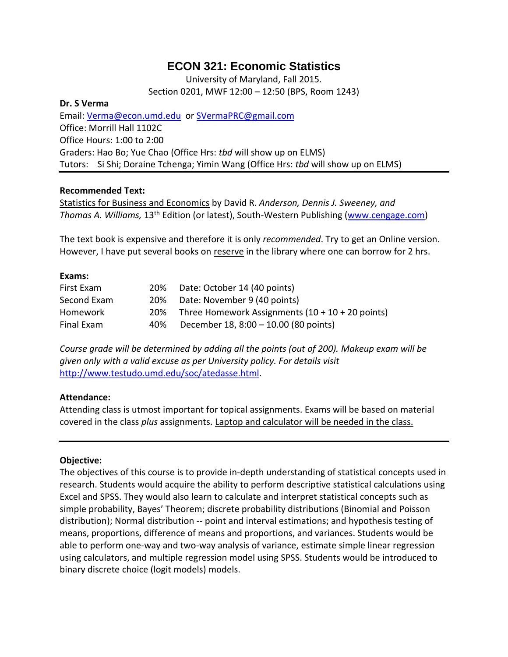# **ECON 321: Economic Statistics**

University of Maryland, Fall 2015. Section 0201, MWF 12:00 – 12:50 (BPS, Room 1243)

#### **Dr. S Verma**

Email: [Verma@econ.umd.edu](mailto:Verma@econ.umd.edu) or [SVermaPRC@gmail.com](mailto:SVermaPRC@gmail.com) Office: Morrill Hall 1102C Office Hours: 1:00 to 2:00 Graders: Hao Bo; Yue Chao (Office Hrs: *tbd* will show up on ELMS) Tutors: Si Shi; Doraine Tchenga; Yimin Wang (Office Hrs: *tbd* will show up on ELMS)

### **Recommended Text:**

Statistics for Business and Economics by David R. *Anderson, Dennis J. Sweeney, and Thomas A. Williams,* 13th Edition (or latest), South-Western Publishing [\(www.cengage.com\)](http://www.cengage.com/)

The text book is expensive and therefore it is only *recommended*. Try to get an Online version. However, I have put several books on reserve in the library where one can borrow for 2 hrs.

### **Exams:**

| First Exam  | 20% | Date: October 14 (40 points)                       |
|-------------|-----|----------------------------------------------------|
| Second Exam | 20% | Date: November 9 (40 points)                       |
| Homework    | 20% | Three Homework Assignments $(10 + 10 + 20$ points) |
| Final Exam  | 40% | December 18, 8:00 - 10.00 (80 points)              |

*Course grade will be determined by adding all the points (out of 200). Makeup exam will be given only with a valid excuse as per University policy. For details visit* [http://www.testudo.umd.edu/soc/atedasse.html.](http://www.testudo.umd.edu/soc/atedasse.html)

### **Attendance:**

Attending class is utmost important for topical assignments. Exams will be based on material covered in the class *plus* assignments. Laptop and calculator will be needed in the class.

### **Objective:**

The objectives of this course is to provide in-depth understanding of statistical concepts used in research. Students would acquire the ability to perform descriptive statistical calculations using Excel and SPSS. They would also learn to calculate and interpret statistical concepts such as simple probability, Bayes' Theorem; discrete probability distributions (Binomial and Poisson distribution); Normal distribution -- point and interval estimations; and hypothesis testing of means, proportions, difference of means and proportions, and variances. Students would be able to perform one-way and two-way analysis of variance, estimate simple linear regression using calculators, and multiple regression model using SPSS. Students would be introduced to binary discrete choice (logit models) models.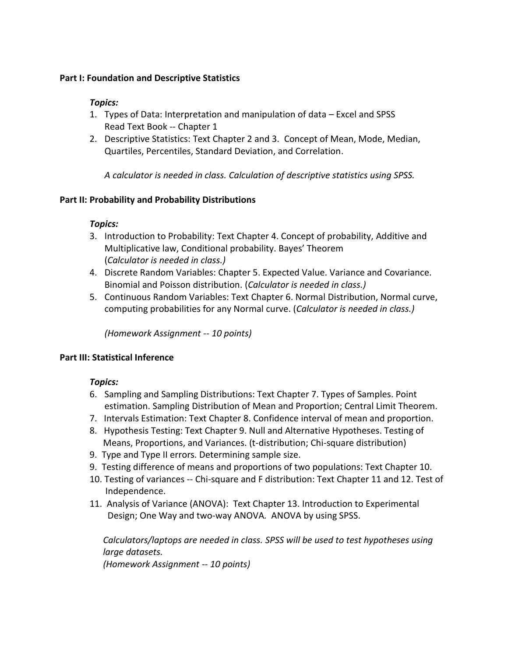### **Part I: Foundation and Descriptive Statistics**

### *Topics:*

- 1. Types of Data: Interpretation and manipulation of data Excel and SPSS Read Text Book -- Chapter 1
- 2. Descriptive Statistics: Text Chapter 2 and 3. Concept of Mean, Mode, Median, Quartiles, Percentiles, Standard Deviation, and Correlation.

*A calculator is needed in class. Calculation of descriptive statistics using SPSS.* 

# **Part II: Probability and Probability Distributions**

# *Topics:*

- 3. Introduction to Probability: Text Chapter 4. Concept of probability, Additive and Multiplicative law, Conditional probability. Bayes' Theorem (*Calculator is needed in class.)*
- 4. Discrete Random Variables: Chapter 5. Expected Value. Variance and Covariance. Binomial and Poisson distribution. (*Calculator is needed in class.)*
- 5. Continuous Random Variables: Text Chapter 6. Normal Distribution, Normal curve, computing probabilities for any Normal curve. (*Calculator is needed in class.)*

*(Homework Assignment -- 10 points)*

# **Part III: Statistical Inference**

# *Topics:*

- 6. Sampling and Sampling Distributions: Text Chapter 7. Types of Samples. Point estimation. Sampling Distribution of Mean and Proportion; Central Limit Theorem.
- 7. Intervals Estimation: Text Chapter 8. Confidence interval of mean and proportion.
- 8. Hypothesis Testing: Text Chapter 9. Null and Alternative Hypotheses. Testing of Means, Proportions, and Variances. (t-distribution; Chi-square distribution)
- 9. Type and Type II errors. Determining sample size.
- 9. Testing difference of means and proportions of two populations: Text Chapter 10.
- 10. Testing of variances -- Chi-square and F distribution: Text Chapter 11 and 12. Test of Independence.
- 11. Analysis of Variance (ANOVA): Text Chapter 13. Introduction to Experimental Design; One Way and two-way ANOVA*.* ANOVA by using SPSS.

*Calculators/laptops are needed in class. SPSS will be used to test hypotheses using large datasets.* 

*(Homework Assignment -- 10 points)*